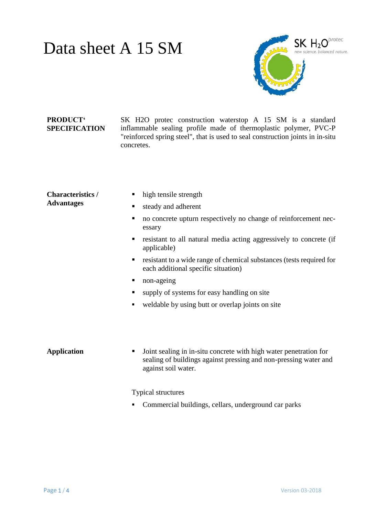## Data sheet A 15 SM



### **PRODUCT' SPECIFICATION**

SK H2O protec construction waterstop A 15 SM is a standard inflammable sealing profile made of thermoplastic polymer, PVC-P "reinforced spring steel", that is used to seal construction joints in in-situ concretes.

#### **Characteristics / Advantages**

- high tensile strength
- steady and adherent
- no concrete upturn respectively no change of reinforcement necessary
- resistant to all natural media acting aggressively to concrete (if applicable)
- resistant to a wide range of chemical substances (tests required for each additional specific situation)
- non-ageing
- supply of systems for easy handling on site
- weldable by using butt or overlap joints on site

**Application Joint sealing in in-situ concrete with high water penetration for** sealing of buildings against pressing and non-pressing water and against soil water.

Typical structures

• Commercial buildings, cellars, underground car parks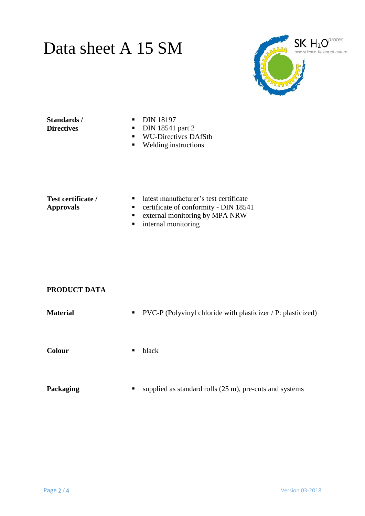## Data sheet A 15 SM



**Standards / Directives**

- **DIN 18197**
- $\nightharpoonup$  DIN 18541 part 2
- WU-Directives DAfStb
- Welding instructions

### **Test certificate / Approvals**

- latest manufacturer's test certificate
- **•** certificate of conformity DIN 18541
- **External monitoring by MPA NRW**
- **n** internal monitoring

### **PRODUCT DATA**

|                                   | <b>Material</b> | $\blacksquare$ PVC-P (Polyvinyl chloride with plasticizer / P: plasticized) |
|-----------------------------------|-----------------|-----------------------------------------------------------------------------|
| Colour<br>black<br>$\blacksquare$ |                 |                                                                             |

**Packaging supplied as standard rolls (25 m), pre-cuts and systems**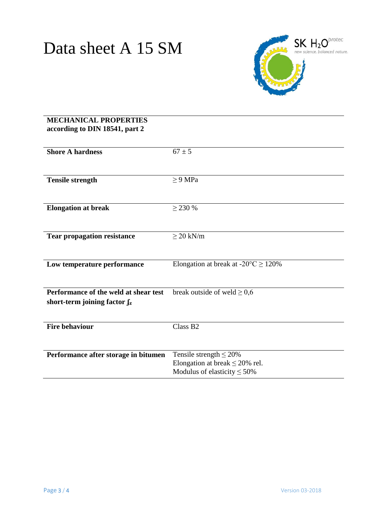

### **MECHANICAL PROPERTIES according to DIN 18541, part 2**

| <b>Shore A hardness</b>               | $67 \pm 5$                                      |
|---------------------------------------|-------------------------------------------------|
|                                       |                                                 |
|                                       |                                                 |
|                                       |                                                 |
| <b>Tensile strength</b>               | $\geq$ 9 MPa                                    |
|                                       |                                                 |
|                                       |                                                 |
|                                       |                                                 |
| <b>Elongation at break</b>            | $>$ 230 %                                       |
|                                       |                                                 |
|                                       |                                                 |
|                                       |                                                 |
| <b>Tear propagation resistance</b>    | $\geq$ 20 kN/m                                  |
|                                       |                                                 |
|                                       |                                                 |
|                                       |                                                 |
| Low temperature performance           | Elongation at break at $-20^{\circ}C \ge 120\%$ |
|                                       |                                                 |
|                                       |                                                 |
|                                       |                                                 |
| Performance of the weld at shear test | break outside of weld $\geq 0.6$                |
|                                       |                                                 |
| short-term joining factor $f_z$       |                                                 |
|                                       |                                                 |
|                                       |                                                 |
| <b>Fire behaviour</b>                 | Class B <sub>2</sub>                            |
|                                       |                                                 |
|                                       |                                                 |
|                                       |                                                 |
| Performance after storage in bitumen  | Tensile strength $\leq$ 20%                     |
|                                       | Elongation at break $\leq$ 20% rel.             |
|                                       |                                                 |
|                                       | Modulus of elasticity $\leq 50\%$               |
|                                       |                                                 |